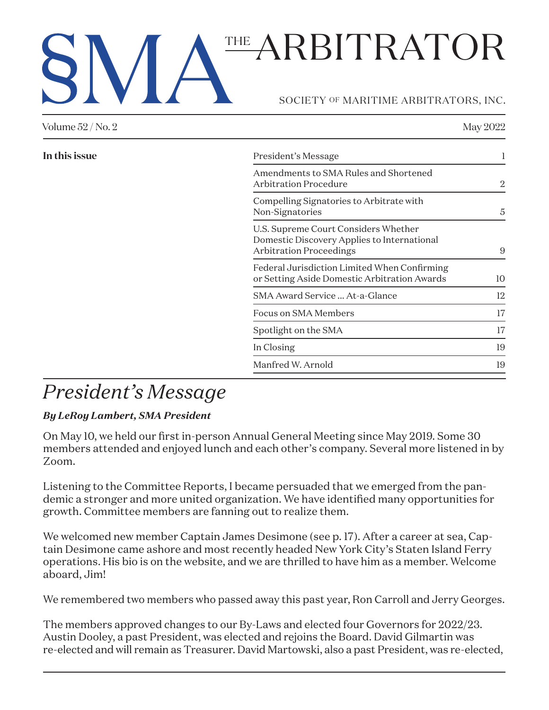# SOCIETY OF MARITIME ARBITRATORS, INC. THE ARBITRATOR

| Volume 52 / No. 2 |                                                                                                                       | May 2022 |
|-------------------|-----------------------------------------------------------------------------------------------------------------------|----------|
| In this issue     | President's Message                                                                                                   |          |
|                   | Amendments to SMA Rules and Shortened<br><b>Arbitration Procedure</b>                                                 | 2        |
|                   | Compelling Signatories to Arbitrate with<br>Non-Signatories                                                           | 5        |
|                   | U.S. Supreme Court Considers Whether<br>Domestic Discovery Applies to International<br><b>Arbitration Proceedings</b> | 9        |
|                   | Federal Jurisdiction Limited When Confirming<br>or Setting Aside Domestic Arbitration Awards                          | 10       |
|                   | SMA Award Service  At-a-Glance                                                                                        | 12       |
|                   | Focus on SMA Members                                                                                                  | 17       |
|                   | Spotlight on the SMA                                                                                                  | 17       |
|                   | In Closing                                                                                                            | 19       |
|                   | Manfred W. Arnold                                                                                                     | 19       |
|                   |                                                                                                                       |          |

# *President's Message*

### *By LeRoy Lambert, SMA President*

On May 10, we held our first in-person Annual General Meeting since May 2019. Some 30 members attended and enjoyed lunch and each other's company. Several more listened in by Zoom.

Listening to the Committee Reports, I became persuaded that we emerged from the pandemic a stronger and more united organization. We have identified many opportunities for growth. Committee members are fanning out to realize them.

We welcomed new member Captain James Desimone (see p. 17). After a career at sea, Captain Desimone came ashore and most recently headed New York City's Staten Island Ferry operations. His bio is on the website, and we are thrilled to have him as a member. Welcome aboard, Jim!

We remembered two members who passed away this past year, Ron Carroll and Jerry Georges.

The members approved changes to our By-Laws and elected four Governors for 2022/23. Austin Dooley, a past President, was elected and rejoins the Board. David Gilmartin was re-elected and will remain as Treasurer. David Martowski, also a past President, was re-elected,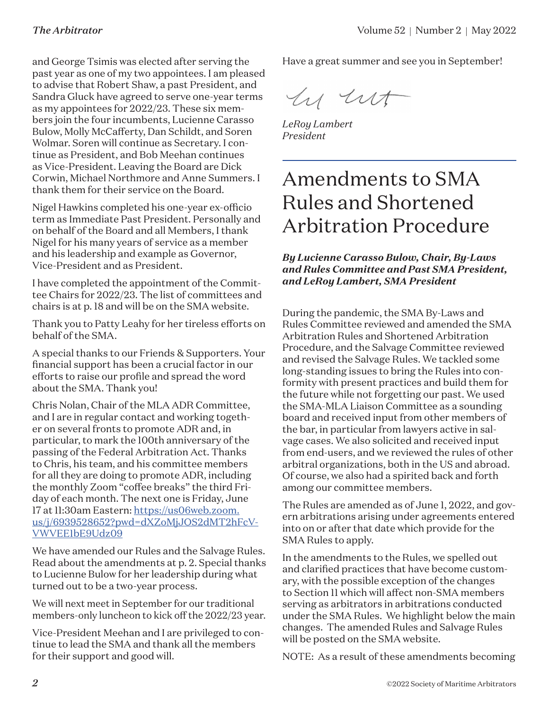and George Tsimis was elected after serving the past year as one of my two appointees. I am pleased to advise that Robert Shaw, a past President, and Sandra Gluck have agreed to serve one-year terms as my appointees for 2022/23. These six members join the four incumbents, Lucienne Carasso Bulow, Molly McCafferty, Dan Schildt, and Soren Wolmar. Soren will continue as Secretary. I continue as President, and Bob Meehan continues as Vice-President. Leaving the Board are Dick Corwin, Michael Northmore and Anne Summers. I thank them for their service on the Board.

Nigel Hawkins completed his one-year ex-officio term as Immediate Past President. Personally and on behalf of the Board and all Members, I thank Nigel for his many years of service as a member and his leadership and example as Governor, Vice-President and as President.

I have completed the appointment of the Committee Chairs for 2022/23. The list of committees and chairs is at p. 18 and will be on the SMA website.

Thank you to Patty Leahy for her tireless efforts on behalf of the SMA.

A special thanks to our Friends & Supporters. Your financial support has been a crucial factor in our efforts to raise our profile and spread the word about the SMA. Thank you!

Chris Nolan, Chair of the MLA ADR Committee, and I are in regular contact and working together on several fronts to promote ADR and, in particular, to mark the 100th anniversary of the passing of the Federal Arbitration Act. Thanks to Chris, his team, and his committee members for all they are doing to promote ADR, including the monthly Zoom "coffee breaks" the third Friday of each month. The next one is Friday, June 17 at 11:30am Eastern: [https://us06web.zoom.](https://us06web.zoom.us/j/6939528652?pwd=dXZoMjJOS2dMT2hFcVVWVEE1bE9Udz09) [us/j/6939528652?pwd=dXZoMjJOS2dMT2hFcV-](https://us06web.zoom.us/j/6939528652?pwd=dXZoMjJOS2dMT2hFcVVWVEE1bE9Udz09)[VWVEE1bE9Udz09](https://us06web.zoom.us/j/6939528652?pwd=dXZoMjJOS2dMT2hFcVVWVEE1bE9Udz09)

We have amended our Rules and the Salvage Rules. Read about the amendments at p. 2. Special thanks to Lucienne Bulow for her leadership during what turned out to be a two-year process.

We will next meet in September for our traditional members-only luncheon to kick off the 2022/23 year.

Vice-President Meehan and I are privileged to continue to lead the SMA and thank all the members for their support and good will.

Have a great summer and see you in September!

hy ut

*LeRoy Lambert President*

### Amendments to SMA Rules and Shortened Arbitration Procedure

*By Lucienne Carasso Bulow, Chair, By-Laws and Rules Committee and Past SMA President, and LeRoy Lambert, SMA President*

During the pandemic, the SMA By-Laws and Rules Committee reviewed and amended the SMA Arbitration Rules and Shortened Arbitration Procedure, and the Salvage Committee reviewed and revised the Salvage Rules. We tackled some long-standing issues to bring the Rules into conformity with present practices and build them for the future while not forgetting our past. We used the SMA-MLA Liaison Committee as a sounding board and received input from other members of the bar, in particular from lawyers active in salvage cases. We also solicited and received input from end-users, and we reviewed the rules of other arbitral organizations, both in the US and abroad. Of course, we also had a spirited back and forth among our committee members.

The Rules are amended as of June 1, 2022, and govern arbitrations arising under agreements entered into on or after that date which provide for the SMA Rules to apply.

In the amendments to the Rules, we spelled out and clarified practices that have become customary, with the possible exception of the changes to Section 11 which will affect non-SMA members serving as arbitrators in arbitrations conducted under the SMA Rules. We highlight below the main changes. The amended Rules and Salvage Rules will be posted on the SMA website.

NOTE: As a result of these amendments becoming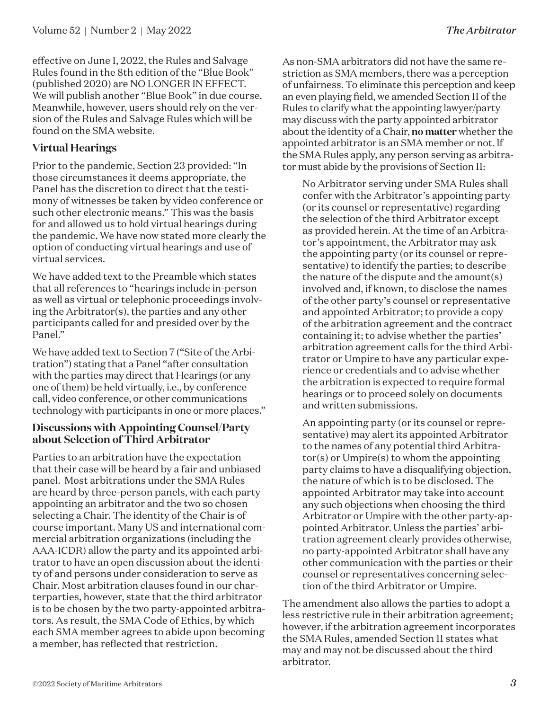effective on June 1, 2022, the Rules and Salvage Rules found in the 8th edition of the "Blue Book" (published 2020) are NO LONGER IN EFFECT. We will publish another "Blue Book" in due course. Meanwhile, however, users should rely on the version of the Rules and Salvage Rules which will be found on the SMA website.

### **Virtual Hearings**

Prior to the pandemic, Section 23 provided: "In those circumstances it deems appropriate, the Panel has the discretion to direct that the testimony of witnesses be taken by video conference or such other electronic means." This was the basis for and allowed us to hold virtual hearings during the pandemic. We have now stated more clearly the option of conducting virtual hearings and use of virtual services.

We have added text to the Preamble which states that all references to "hearings include in-person as well as virtual or telephonic proceedings involving the Arbitrator(s), the parties and any other participants called for and presided over by the Panel."

We have added text to Section 7 ("Site of the Arbitration") stating that a Panel "after consultation with the parties may direct that Hearings (or any one of them) be held virtually, i.e., by conference call, video conference, or other communications technology with participants in one or more places."

### **Discussions with Appointing Counsel/Party about Selection of Third Arbitrator**

Parties to an arbitration have the expectation that their case will be heard by a fair and unbiased panel. Most arbitrations under the SMA Rules are heard by three-person panels, with each party appointing an arbitrator and the two so chosen selecting a Chair. The identity of the Chair is of course important. Many US and international commercial arbitration organizations (including the AAA-ICDR) allow the party and its appointed arbitrator to have an open discussion about the identity of and persons under consideration to serve as Chair. Most arbitration clauses found in our charterparties, however, state that the third arbitrator is to be chosen by the two party-appointed arbitrators. As result, the SMA Code of Ethics, by which each SMA member agrees to abide upon becoming a member, has reflected that restriction.

As non-SMA arbitrators did not have the same restriction as SMA members, there was a perception of unfairness. To eliminate this perception and keep an even playing field, we amended Section 11 of the Rules to clarify what the appointing lawyer/party may discuss with the party appointed arbitrator about the identity of a Chair, **no matter** whether the appointed arbitrator is an SMA member or not. If the SMA Rules apply, any person serving as arbitrator must abide by the provisions of Section 11:

No Arbitrator serving under SMA Rules shall confer with the Arbitrator's appointing party (or its counsel or representative) regarding the selection of the third Arbitrator except as provided herein. At the time of an Arbitrator's appointment, the Arbitrator may ask the appointing party (or its counsel or representative) to identify the parties; to describe the nature of the dispute and the amount(s) involved and, if known, to disclose the names of the other party's counsel or representative and appointed Arbitrator; to provide a copy of the arbitration agreement and the contract containing it; to advise whether the parties' arbitration agreement calls for the third Arbitrator or Umpire to have any particular experience or credentials and to advise whether the arbitration is expected to require formal hearings or to proceed solely on documents and written submissions.

An appointing party (or its counsel or representative) may alert its appointed Arbitrator to the names of any potential third Arbitrator(s) or Umpire(s) to whom the appointing party claims to have a disqualifying objection, the nature of which is to be disclosed. The appointed Arbitrator may take into account any such objections when choosing the third Arbitrator or Umpire with the other party-appointed Arbitrator. Unless the parties' arbitration agreement clearly provides otherwise, no party-appointed Arbitrator shall have any other communication with the parties or their counsel or representatives concerning selection of the third Arbitrator or Umpire.

The amendment also allows the parties to adopt a less restrictive rule in their arbitration agreement; however, if the arbitration agreement incorporates the SMA Rules, amended Section 11 states what may and may not be discussed about the third arbitrator.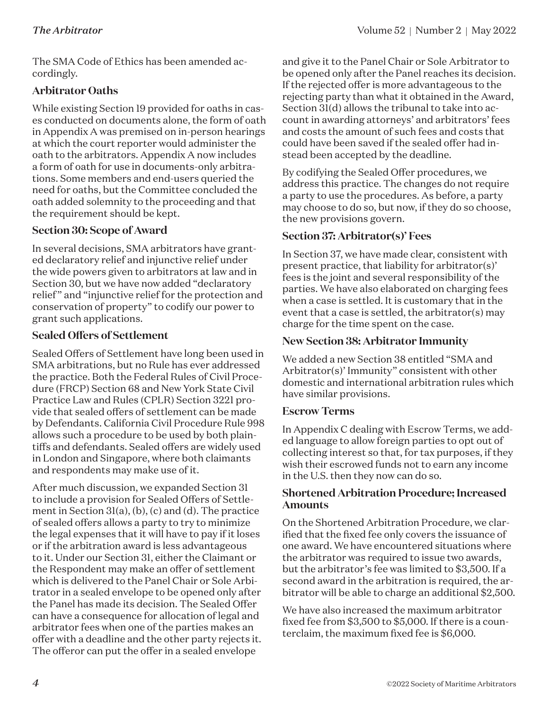The SMA Code of Ethics has been amended accordingly.

### **Arbitrator Oaths**

While existing Section 19 provided for oaths in cases conducted on documents alone, the form of oath in Appendix A was premised on in-person hearings at which the court reporter would administer the oath to the arbitrators. Appendix A now includes a form of oath for use in documents-only arbitrations. Some members and end-users queried the need for oaths, but the Committee concluded the oath added solemnity to the proceeding and that the requirement should be kept.

### **Section 30: Scope of Award**

In several decisions, SMA arbitrators have granted declaratory relief and injunctive relief under the wide powers given to arbitrators at law and in Section 30, but we have now added "declaratory relief" and "injunctive relief for the protection and conservation of property" to codify our power to grant such applications.

### **Sealed Offers of Settlement**

Sealed Offers of Settlement have long been used in SMA arbitrations, but no Rule has ever addressed the practice. Both the Federal Rules of Civil Procedure (FRCP) Section 68 and New York State Civil Practice Law and Rules (CPLR) Section 3221 provide that sealed offers of settlement can be made by Defendants. California Civil Procedure Rule 998 allows such a procedure to be used by both plaintiffs and defendants. Sealed offers are widely used in London and Singapore, where both claimants and respondents may make use of it.

After much discussion, we expanded Section 31 to include a provision for Sealed Offers of Settlement in Section 31(a), (b), (c) and (d). The practice of sealed offers allows a party to try to minimize the legal expenses that it will have to pay if it loses or if the arbitration award is less advantageous to it. Under our Section 31, either the Claimant or the Respondent may make an offer of settlement which is delivered to the Panel Chair or Sole Arbitrator in a sealed envelope to be opened only after the Panel has made its decision. The Sealed Offer can have a consequence for allocation of legal and arbitrator fees when one of the parties makes an offer with a deadline and the other party rejects it. The offeror can put the offer in a sealed envelope

and give it to the Panel Chair or Sole Arbitrator to be opened only after the Panel reaches its decision. If the rejected offer is more advantageous to the rejecting party than what it obtained in the Award, Section 31(d) allows the tribunal to take into account in awarding attorneys' and arbitrators' fees and costs the amount of such fees and costs that could have been saved if the sealed offer had instead been accepted by the deadline.

By codifying the Sealed Offer procedures, we address this practice. The changes do not require a party to use the procedures. As before, a party may choose to do so, but now, if they do so choose, the new provisions govern.

### **Section 37: Arbitrator(s)' Fees**

In Section 37, we have made clear, consistent with present practice, that liability for arbitrator(s)' fees is the joint and several responsibility of the parties. We have also elaborated on charging fees when a case is settled. It is customary that in the event that a case is settled, the arbitrator(s) may charge for the time spent on the case.

### **New Section 38: Arbitrator Immunity**

We added a new Section 38 entitled "SMA and Arbitrator(s)' Immunity" consistent with other domestic and international arbitration rules which have similar provisions.

### **Escrow Terms**

In Appendix C dealing with Escrow Terms, we added language to allow foreign parties to opt out of collecting interest so that, for tax purposes, if they wish their escrowed funds not to earn any income in the U.S. then they now can do so.

### **Shortened Arbitration Procedure; Increased Amounts**

On the Shortened Arbitration Procedure, we clarified that the fixed fee only covers the issuance of one award. We have encountered situations where the arbitrator was required to issue two awards, but the arbitrator's fee was limited to \$3,500. If a second award in the arbitration is required, the arbitrator will be able to charge an additional \$2,500.

We have also increased the maximum arbitrator fixed fee from \$3,500 to \$5,000. If there is a counterclaim, the maximum fixed fee is \$6,000.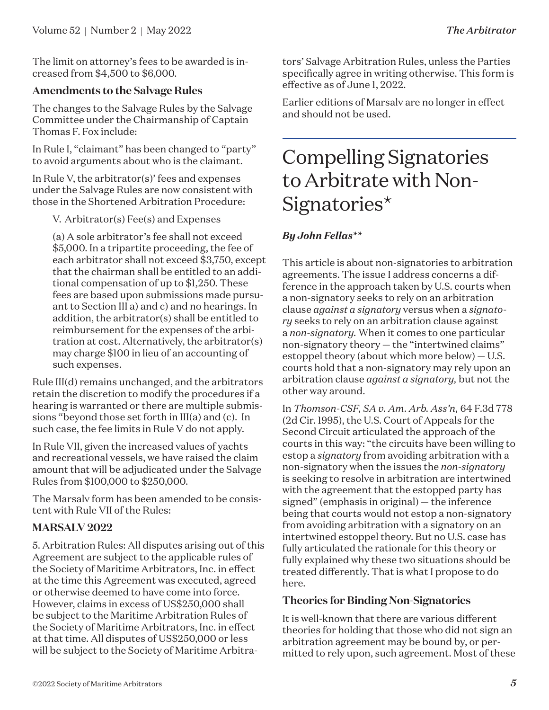The limit on attorney's fees to be awarded is increased from \$4,500 to \$6,000.

### **Amendments to the Salvage Rules**

The changes to the Salvage Rules by the Salvage Committee under the Chairmanship of Captain Thomas F. Fox include:

In Rule I, "claimant" has been changed to "party" to avoid arguments about who is the claimant.

In Rule V, the arbitrator(s)' fees and expenses under the Salvage Rules are now consistent with those in the Shortened Arbitration Procedure:

V. Arbitrator(s) Fee(s) and Expenses

(a) A sole arbitrator's fee shall not exceed \$5,000. In a tripartite proceeding, the fee of each arbitrator shall not exceed \$3,750, except that the chairman shall be entitled to an additional compensation of up to \$1,250. These fees are based upon submissions made pursuant to Section III a) and c) and no hearings. In addition, the arbitrator(s) shall be entitled to reimbursement for the expenses of the arbitration at cost. Alternatively, the arbitrator(s) may charge \$100 in lieu of an accounting of such expenses.

Rule III(d) remains unchanged, and the arbitrators retain the discretion to modify the procedures if a hearing is warranted or there are multiple submissions "beyond those set forth in III(a) and (c). In such case, the fee limits in Rule V do not apply.

In Rule VII, given the increased values of yachts and recreational vessels, we have raised the claim amount that will be adjudicated under the Salvage Rules from \$100,000 to \$250,000.

The Marsalv form has been amended to be consistent with Rule VII of the Rules:

### **MARSALV 2022**

5. Arbitration Rules: All disputes arising out of this Agreement are subject to the applicable rules of the Society of Maritime Arbitrators, Inc. in effect at the time this Agreement was executed, agreed or otherwise deemed to have come into force. However, claims in excess of US\$250,000 shall be subject to the Maritime Arbitration Rules of the Society of Maritime Arbitrators, Inc. in effect at that time. All disputes of US\$250,000 or less will be subject to the Society of Maritime Arbitrators' Salvage Arbitration Rules, unless the Parties specifically agree in writing otherwise. This form is effective as of June 1, 2022.

Earlier editions of Marsalv are no longer in effect and should not be used.

### Compelling Signatories to Arbitrate with Non-Signatories\*

### *By John Fellas\*\**

This article is about non-signatories to arbitration agreements. The issue I address concerns a difference in the approach taken by U.S. courts when a non-signatory seeks to rely on an arbitration clause *against a signatory* versus when a *signatory* seeks to rely on an arbitration clause against a *non-signatory.* When it comes to one particular non-signatory theory — the "intertwined claims" estoppel theory (about which more below) — U.S. courts hold that a non-signatory may rely upon an arbitration clause *against a signatory,* but not the other way around.

In *Thomson-CSF, SA v. Am. Arb. Ass'n,* 64 F.3d 778 (2d Cir. 1995), the U.S. Court of Appeals for the Second Circuit articulated the approach of the courts in this way: "the circuits have been willing to estop a *signatory* from avoiding arbitration with a non-signatory when the issues the *non-signatory* is seeking to resolve in arbitration are intertwined with the agreement that the estopped party has signed" (emphasis in original) — the inference being that courts would not estop a non-signatory from avoiding arbitration with a signatory on an intertwined estoppel theory. But no U.S. case has fully articulated the rationale for this theory or fully explained why these two situations should be treated differently. That is what I propose to do here.

### **Theories for Binding Non-Signatories**

It is well-known that there are various different theories for holding that those who did not sign an arbitration agreement may be bound by, or permitted to rely upon, such agreement. Most of these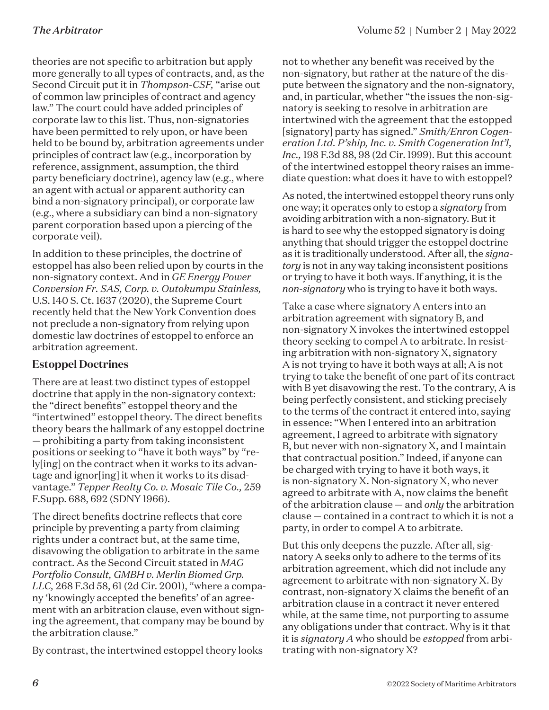theories are not specific to arbitration but apply more generally to all types of contracts, and, as the Second Circuit put it in *Thompson-CSF,* "arise out of common law principles of contract and agency law." The court could have added principles of corporate law to this list. Thus, non-signatories have been permitted to rely upon, or have been held to be bound by, arbitration agreements under principles of contract law (e.g., incorporation by reference, assignment, assumption, the third party beneficiary doctrine), agency law (e.g., where an agent with actual or apparent authority can bind a non-signatory principal), or corporate law (e.g., where a subsidiary can bind a non-signatory parent corporation based upon a piercing of the corporate veil).

In addition to these principles, the doctrine of estoppel has also been relied upon by courts in the non-signatory context. And in *GE Energy Power Conversion Fr. SAS, Corp. v. Outokumpu Stainless,*  U.S. 140 S. Ct. 1637 (2020), the Supreme Court recently held that the New York Convention does not preclude a non-signatory from relying upon domestic law doctrines of estoppel to enforce an arbitration agreement.

### **Estoppel Doctrines**

There are at least two distinct types of estoppel doctrine that apply in the non-signatory context: the "direct benefits" estoppel theory and the "intertwined" estoppel theory. The direct benefits theory bears the hallmark of any estoppel doctrine — prohibiting a party from taking inconsistent positions or seeking to "have it both ways" by "rely[ing] on the contract when it works to its advantage and ignor[ing] it when it works to its disadvantage." *Tepper Realty Co. v. Mosaic Tile Co.,* 259 F.Supp. 688, 692 (SDNY 1966).

The direct benefits doctrine reflects that core principle by preventing a party from claiming rights under a contract but, at the same time, disavowing the obligation to arbitrate in the same contract. As the Second Circuit stated in *MAG Portfolio Consult, GMBH v. Merlin Biomed Grp. LLC,* 268 F.3d 58, 61 (2d Cir. 2001), "where a company 'knowingly accepted the benefits' of an agreement with an arbitration clause, even without signing the agreement, that company may be bound by the arbitration clause."

By contrast, the intertwined estoppel theory looks

not to whether any benefit was received by the non-signatory, but rather at the nature of the dispute between the signatory and the non-signatory, and, in particular, whether "the issues the non-signatory is seeking to resolve in arbitration are intertwined with the agreement that the estopped [signatory] party has signed." *Smith/Enron Cogeneration Ltd. P'ship, Inc. v. Smith Cogeneration Int'l, Inc.,* 198 F.3d 88, 98 (2d Cir. 1999). But this account of the intertwined estoppel theory raises an immediate question: what does it have to with estoppel?

As noted, the intertwined estoppel theory runs only one way; it operates only to estop a *signatory* from avoiding arbitration with a non-signatory. But it is hard to see why the estopped signatory is doing anything that should trigger the estoppel doctrine as it is traditionally understood. After all, the *signatory* is not in any way taking inconsistent positions or trying to have it both ways. If anything, it is the *non-signatory* who is trying to have it both ways.

Take a case where signatory A enters into an arbitration agreement with signatory B, and non-signatory X invokes the intertwined estoppel theory seeking to compel A to arbitrate. In resisting arbitration with non-signatory X, signatory A is not trying to have it both ways at all; A is not trying to take the benefit of one part of its contract with B yet disavowing the rest. To the contrary, A is being perfectly consistent, and sticking precisely to the terms of the contract it entered into, saying in essence: "When I entered into an arbitration agreement, I agreed to arbitrate with signatory B, but never with non-signatory X, and I maintain that contractual position." Indeed, if anyone can be charged with trying to have it both ways, it is non-signatory X. Non-signatory X, who never agreed to arbitrate with A, now claims the benefit of the arbitration clause — and *only* the arbitration clause — contained in a contract to which it is not a party, in order to compel A to arbitrate.

But this only deepens the puzzle. After all, signatory A seeks only to adhere to the terms of its arbitration agreement, which did not include any agreement to arbitrate with non-signatory X. By contrast, non-signatory X claims the benefit of an arbitration clause in a contract it never entered while, at the same time, not purporting to assume any obligations under that contract. Why is it that it is *signatory A* who should be *estopped* from arbitrating with non-signatory X?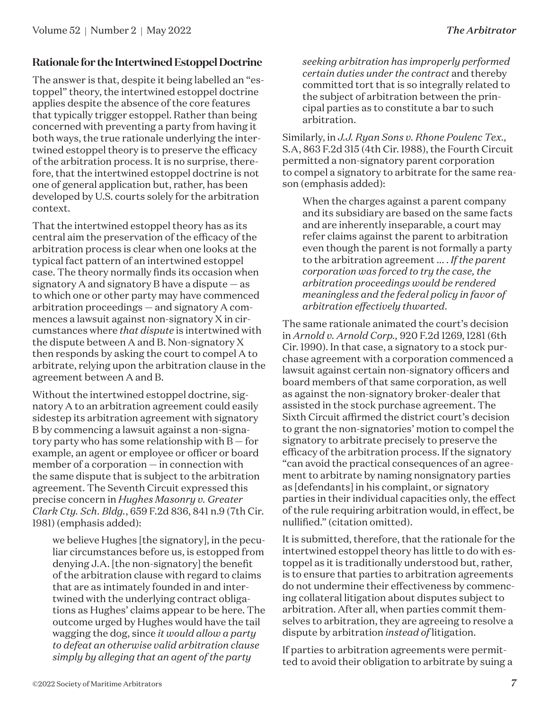### **Rationale for the Intertwined Estoppel Doctrine**

The answer is that, despite it being labelled an "estoppel" theory, the intertwined estoppel doctrine applies despite the absence of the core features that typically trigger estoppel. Rather than being concerned with preventing a party from having it both ways, the true rationale underlying the intertwined estoppel theory is to preserve the efficacy of the arbitration process. It is no surprise, therefore, that the intertwined estoppel doctrine is not one of general application but, rather, has been developed by U.S. courts solely for the arbitration context.

That the intertwined estoppel theory has as its central aim the preservation of the efficacy of the arbitration process is clear when one looks at the typical fact pattern of an intertwined estoppel case. The theory normally finds its occasion when signatory A and signatory B have a dispute — as to which one or other party may have commenced arbitration proceedings — and signatory A commences a lawsuit against non-signatory X in circumstances where *that dispute* is intertwined with the dispute between A and B. Non-signatory X then responds by asking the court to compel A to arbitrate, relying upon the arbitration clause in the agreement between A and B.

Without the intertwined estoppel doctrine, signatory A to an arbitration agreement could easily sidestep its arbitration agreement with signatory B by commencing a lawsuit against a non-signatory party who has some relationship with  $B - for$ example, an agent or employee or officer or board member of a corporation — in connection with the same dispute that is subject to the arbitration agreement. The Seventh Circuit expressed this precise concern in *Hughes Masonry v. Greater Clark Cty. Sch. Bldg.*, 659 F.2d 836, 841 n.9 (7th Cir. 1981) (emphasis added):

we believe Hughes [the signatory], in the peculiar circumstances before us, is estopped from denying J.A. [the non-signatory] the benefit of the arbitration clause with regard to claims that are as intimately founded in and intertwined with the underlying contract obligations as Hughes' claims appear to be here. The outcome urged by Hughes would have the tail wagging the dog, since *it would allow a party to defeat an otherwise valid arbitration clause simply by alleging that an agent of the party* 

*seeking arbitration has improperly performed certain duties under the contract* and thereby committed tort that is so integrally related to the subject of arbitration between the principal parties as to constitute a bar to such arbitration.

Similarly, in *J.J. Ryan Sons v. Rhone Poulenc Tex.,* S.A, 863 F.2d 315 (4th Cir. 1988), the Fourth Circuit permitted a non-signatory parent corporation to compel a signatory to arbitrate for the same reason (emphasis added):

When the charges against a parent company and its subsidiary are based on the same facts and are inherently inseparable, a court may refer claims against the parent to arbitration even though the parent is not formally a party to the arbitration agreement ... . *If the parent corporation was forced to try the case, the arbitration proceedings would be rendered meaningless and the federal policy in favor of arbitration effectively thwarted.*

The same rationale animated the court's decision in *Arnold v. Arnold Corp.,* 920 F.2d 1269, 1281 (6th Cir. 1990). In that case, a signatory to a stock purchase agreement with a corporation commenced a lawsuit against certain non-signatory officers and board members of that same corporation, as well as against the non-signatory broker-dealer that assisted in the stock purchase agreement. The Sixth Circuit affirmed the district court's decision to grant the non-signatories' motion to compel the signatory to arbitrate precisely to preserve the efficacy of the arbitration process. If the signatory "can avoid the practical consequences of an agreement to arbitrate by naming nonsignatory parties as [defendants] in his complaint, or signatory parties in their individual capacities only, the effect of the rule requiring arbitration would, in effect, be nullified." (citation omitted).

It is submitted, therefore, that the rationale for the intertwined estoppel theory has little to do with estoppel as it is traditionally understood but, rather, is to ensure that parties to arbitration agreements do not undermine their effectiveness by commencing collateral litigation about disputes subject to arbitration. After all, when parties commit themselves to arbitration, they are agreeing to resolve a dispute by arbitration *instead of* litigation.

If parties to arbitration agreements were permitted to avoid their obligation to arbitrate by suing a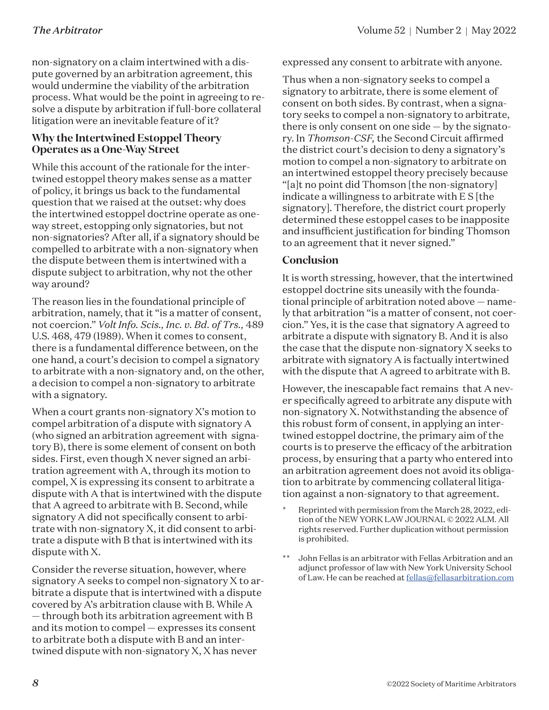non-signatory on a claim intertwined with a dispute governed by an arbitration agreement, this would undermine the viability of the arbitration process. What would be the point in agreeing to resolve a dispute by arbitration if full-bore collateral litigation were an inevitable feature of it?

### **Why the Intertwined Estoppel Theory Operates as a One-Way Street**

While this account of the rationale for the intertwined estoppel theory makes sense as a matter of policy, it brings us back to the fundamental question that we raised at the outset: why does the intertwined estoppel doctrine operate as oneway street, estopping only signatories, but not non-signatories? After all, if a signatory should be compelled to arbitrate with a non-signatory when the dispute between them is intertwined with a dispute subject to arbitration, why not the other way around?

The reason lies in the foundational principle of arbitration, namely, that it "is a matter of consent, not coercion." *Volt Info. Scis., Inc. v. Bd. of Trs.,* 489 U.S. 468, 479 (1989). When it comes to consent, there is a fundamental difference between, on the one hand, a court's decision to compel a signatory to arbitrate with a non-signatory and, on the other, a decision to compel a non-signatory to arbitrate with a signatory.

When a court grants non-signatory X's motion to compel arbitration of a dispute with signatory A (who signed an arbitration agreement with signatory B), there is some element of consent on both sides. First, even though X never signed an arbitration agreement with A, through its motion to compel, X is expressing its consent to arbitrate a dispute with A that is intertwined with the dispute that A agreed to arbitrate with B. Second, while signatory A did not specifically consent to arbitrate with non-signatory X, it did consent to arbitrate a dispute with B that is intertwined with its dispute with X.

Consider the reverse situation, however, where signatory A seeks to compel non-signatory X to arbitrate a dispute that is intertwined with a dispute covered by A's arbitration clause with B. While A — through both its arbitration agreement with B and its motion to compel — expresses its consent to arbitrate both a dispute with B and an intertwined dispute with non-signatory X, X has never

expressed any consent to arbitrate with anyone.

Thus when a non-signatory seeks to compel a signatory to arbitrate, there is some element of consent on both sides. By contrast, when a signatory seeks to compel a non-signatory to arbitrate, there is only consent on one side  $-$  by the signatory. In *Thomson-CSF,* the Second Circuit affirmed the district court's decision to deny a signatory's motion to compel a non-signatory to arbitrate on an intertwined estoppel theory precisely because "[a]t no point did Thomson [the non-signatory] indicate a willingness to arbitrate with E S [the signatory]. Therefore, the district court properly determined these estoppel cases to be inapposite and insufficient justification for binding Thomson to an agreement that it never signed."

### **Conclusion**

It is worth stressing, however, that the intertwined estoppel doctrine sits uneasily with the foundational principle of arbitration noted above — namely that arbitration "is a matter of consent, not coercion." Yes, it is the case that signatory A agreed to arbitrate a dispute with signatory B. And it is also the case that the dispute non-signatory X seeks to arbitrate with signatory A is factually intertwined with the dispute that A agreed to arbitrate with B.

However, the inescapable fact remains that A never specifically agreed to arbitrate any dispute with non-signatory X. Notwithstanding the absence of this robust form of consent, in applying an intertwined estoppel doctrine, the primary aim of the courts is to preserve the efficacy of the arbitration process, by ensuring that a party who entered into an arbitration agreement does not avoid its obligation to arbitrate by commencing collateral litigation against a non-signatory to that agreement.

- Reprinted with permission from the March 28, 2022, edition of the NEW YORK LAW JOURNAL © 2022 ALM. All rights reserved. Further duplication without permission is prohibited.
- \*\* John Fellas is an arbitrator with Fellas Arbitration and an adjunct professor of law with New York University School of Law. He can be reached at [fellas@fellasarbitration.com](http://fellas@fellasarbitration.com)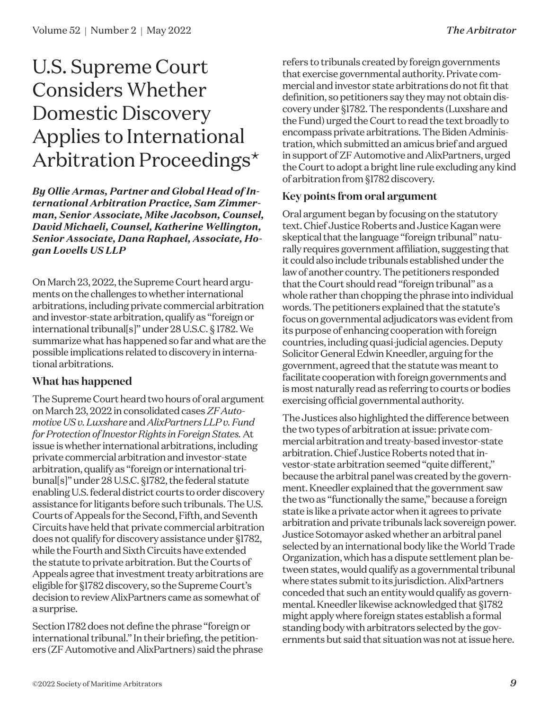### U.S. Supreme Court Considers Whether Domestic Discovery Applies to International Arbitration Proceedings\*

*By Ollie Armas, Partner and Global Head of International Arbitration Practice, Sam Zimmerman, Senior Associate, Mike Jacobson, Counsel, David Michaeli, Counsel, Katherine Wellington, Senior Associate, Dana Raphael, Associate, Hogan Lovells US LLP*

On March 23, 2022, the Supreme Court heard arguments on the challenges to whether international arbitrations, including private commercial arbitration and investor-state arbitration, qualify as "foreign or international tribunal[s]" under 28 U.S.C. § 1782. We summarize what has happened so far and what are the possible implications related to discovery in international arbitrations.

### **What has happened**

The Supreme Court heard two hours of oral argument on March 23, 2022 in consolidated cases *ZF Automotive US v. Luxshare* and *AlixPartners LLP v. Fund for Protection of Investor Rights in Foreign States.* At issue is whether international arbitrations, including private commercial arbitration and investor-state arbitration, qualify as "foreign or international tribunal[s]" under 28 U.S.C. §1782, the federal statute enabling U.S. federal district courts to order discovery assistance for litigants before such tribunals. The U.S. Courts of Appeals for the Second, Fifth, and Seventh Circuits have held that private commercial arbitration does not qualify for discovery assistance under §1782, while the Fourth and Sixth Circuits have extended the statute to private arbitration. But the Courts of Appeals agree that investment treaty arbitrations are eligible for §1782 discovery, so the Supreme Court's decision to review AlixPartners came as somewhat of a surprise.

Section 1782 does not define the phrase "foreign or international tribunal." In their briefing, the petitioners (ZF Automotive and AlixPartners) said the phrase refers to tribunals created by foreign governments that exercise governmental authority. Private commercial and investor state arbitrations do not fit that definition, so petitioners say they may not obtain discovery under §1782. The respondents (Luxshare and the Fund) urged the Court to read the text broadly to encompass private arbitrations. The Biden Administration, which submitted an amicus brief and argued in support of ZF Automotive and AlixPartners, urged the Court to adopt a bright line rule excluding any kind of arbitration from §1782 discovery.

### **Key points from oral argument**

Oral argument began by focusing on the statutory text. Chief Justice Roberts and Justice Kagan were skeptical that the language "foreign tribunal" naturally requires government affiliation, suggesting that it could also include tribunals established under the law of another country. The petitioners responded that the Court should read "foreign tribunal" as a whole rather than chopping the phrase into individual words. The petitioners explained that the statute's focus on governmental adjudicators was evident from its purpose of enhancing cooperation with foreign countries, including quasi-judicial agencies. Deputy Solicitor General Edwin Kneedler, arguing for the government, agreed that the statute was meant to facilitate cooperation with foreign governments and is most naturally read as referring to courts or bodies exercising official governmental authority.

The Justices also highlighted the difference between the two types of arbitration at issue: private commercial arbitration and treaty-based investor-state arbitration. Chief Justice Roberts noted that investor-state arbitration seemed "quite different," because the arbitral panel was created by the government. Kneedler explained that the government saw the two as "functionally the same," because a foreign state is like a private actor when it agrees to private arbitration and private tribunals lack sovereign power. Justice Sotomayor asked whether an arbitral panel selected by an international body like the World Trade Organization, which has a dispute settlement plan between states, would qualify as a governmental tribunal where states submit to its jurisdiction. AlixPartners conceded that such an entity would qualify as governmental. Kneedler likewise acknowledged that §1782 might apply where foreign states establish a formal standing body with arbitrators selected by the governments but said that situation was not at issue here.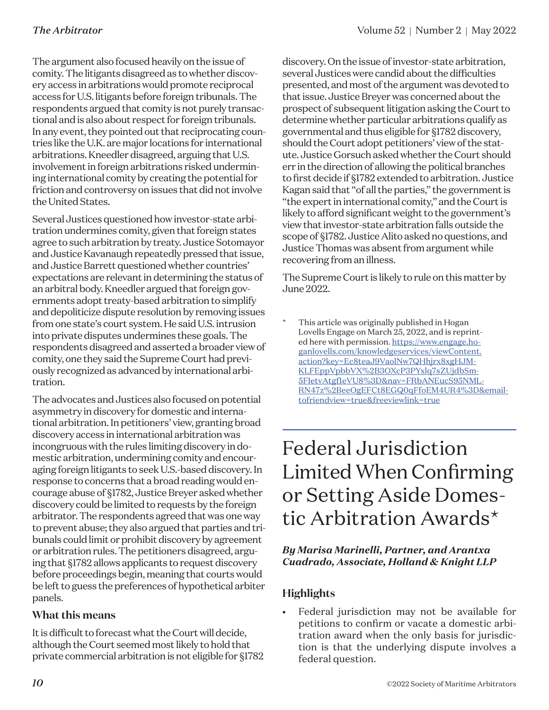The argument also focused heavily on the issue of comity. The litigants disagreed as to whether discovery access in arbitrations would promote reciprocal access for U.S. litigants before foreign tribunals. The respondents argued that comity is not purely transactional and is also about respect for foreign tribunals. In any event, they pointed out that reciprocating countries like the U.K. are major locations for international arbitrations. Kneedler disagreed, arguing that U.S. involvement in foreign arbitrations risked undermining international comity by creating the potential for friction and controversy on issues that did not involve the United States.

Several Justices questioned how investor-state arbitration undermines comity, given that foreign states agree to such arbitration by treaty. Justice Sotomayor and Justice Kavanaugh repeatedly pressed that issue, and Justice Barrett questioned whether countries' expectations are relevant in determining the status of an arbitral body. Kneedler argued that foreign governments adopt treaty-based arbitration to simplify and depoliticize dispute resolution by removing issues from one state's court system. He said U.S. intrusion into private disputes undermines these goals. The respondents disagreed and asserted a broader view of comity, one they said the Supreme Court had previously recognized as advanced by international arbitration.

The advocates and Justices also focused on potential asymmetry in discovery for domestic and international arbitration. In petitioners' view, granting broad discovery access in international arbitration was incongruous with the rules limiting discovery in domestic arbitration, undermining comity and encouraging foreign litigants to seek U.S.-based discovery. In response to concerns that a broad reading would encourage abuse of §1782, Justice Breyer asked whether discovery could be limited to requests by the foreign arbitrator. The respondents agreed that was one way to prevent abuse; they also argued that parties and tribunals could limit or prohibit discovery by agreement or arbitration rules. The petitioners disagreed, arguing that §1782 allows applicants to request discovery before proceedings begin, meaning that courts would be left to guess the preferences of hypothetical arbiter panels.

### **What this means**

It is difficult to forecast what the Court will decide, although the Court seemed most likely to hold that private commercial arbitration is not eligible for §1782 discovery. On the issue of investor-state arbitration, several Justices were candid about the difficulties presented, and most of the argument was devoted to that issue. Justice Breyer was concerned about the prospect of subsequent litigation asking the Court to determine whether particular arbitrations qualify as governmental and thus eligible for §1782 discovery, should the Court adopt petitioners' view of the statute. Justice Gorsuch asked whether the Court should err in the direction of allowing the political branches to first decide if §1782 extended to arbitration. Justice Kagan said that "of all the parties," the government is "the expert in international comity," and the Court is likely to afford significant weight to the government's view that investor-state arbitration falls outside the scope of §1782. Justice Alito asked no questions, and Justice Thomas was absent from argument while recovering from an illness.

The Supreme Court is likely to rule on this matter by June 2022.

This article was originally published in Hogan Lovells Engage on March 25, 2022, and is reprinted here with permission. [https://www.engage.ho](https://www.engage.hoganlovells.com/knowledgeservices/viewContent.action?key=Ec8teaJ9VaolNw7QHhjrx8xgHJMKLFEppVpbbVX%2B3OXcP3PYxlq7sZUjdbSm5FIetvAtgf1eVU8%3D&nav=FRbANEucS95NMLRN47z%2BeeOgEFCt8EGQ0qFfoEM4UR4%3D&emailtofriendview=true&freeviewlink=true)[ganlovells.com/knowledgeservices/viewContent.](https://www.engage.hoganlovells.com/knowledgeservices/viewContent.action?key=Ec8teaJ9VaolNw7QHhjrx8xgHJMKLFEppVpbbVX%2B3OXcP3PYxlq7sZUjdbSm5FIetvAtgf1eVU8%3D&nav=FRbANEucS95NMLRN47z%2BeeOgEFCt8EGQ0qFfoEM4UR4%3D&emailtofriendview=true&freeviewlink=true) [action?key=Ec8teaJ9VaolNw7QHhjrx8xgHJM-](https://www.engage.hoganlovells.com/knowledgeservices/viewContent.action?key=Ec8teaJ9VaolNw7QHhjrx8xgHJMKLFEppVpbbVX%2B3OXcP3PYxlq7sZUjdbSm5FIetvAtgf1eVU8%3D&nav=FRbANEucS95NMLRN47z%2BeeOgEFCt8EGQ0qFfoEM4UR4%3D&emailtofriendview=true&freeviewlink=true)[KLFEppVpbbVX%2B3OXcP3PYxlq7sZUjdbSm-](https://www.engage.hoganlovells.com/knowledgeservices/viewContent.action?key=Ec8teaJ9VaolNw7QHhjrx8xgHJMKLFEppVpbbVX%2B3OXcP3PYxlq7sZUjdbSm5FIetvAtgf1eVU8%3D&nav=FRbANEucS95NMLRN47z%2BeeOgEFCt8EGQ0qFfoEM4UR4%3D&emailtofriendview=true&freeviewlink=true)[5FIetvAtgf1eVU8%3D&nav=FRbANEucS95NML-](https://www.engage.hoganlovells.com/knowledgeservices/viewContent.action?key=Ec8teaJ9VaolNw7QHhjrx8xgHJMKLFEppVpbbVX%2B3OXcP3PYxlq7sZUjdbSm5FIetvAtgf1eVU8%3D&nav=FRbANEucS95NMLRN47z%2BeeOgEFCt8EGQ0qFfoEM4UR4%3D&emailtofriendview=true&freeviewlink=true)[RN47z%2BeeOgEFCt8EGQ0qFfoEM4UR4%3D&email](https://www.engage.hoganlovells.com/knowledgeservices/viewContent.action?key=Ec8teaJ9VaolNw7QHhjrx8xgHJMKLFEppVpbbVX%2B3OXcP3PYxlq7sZUjdbSm5FIetvAtgf1eVU8%3D&nav=FRbANEucS95NMLRN47z%2BeeOgEFCt8EGQ0qFfoEM4UR4%3D&emailtofriendview=true&freeviewlink=true)[tofriendview=true&freeviewlink=true](https://www.engage.hoganlovells.com/knowledgeservices/viewContent.action?key=Ec8teaJ9VaolNw7QHhjrx8xgHJMKLFEppVpbbVX%2B3OXcP3PYxlq7sZUjdbSm5FIetvAtgf1eVU8%3D&nav=FRbANEucS95NMLRN47z%2BeeOgEFCt8EGQ0qFfoEM4UR4%3D&emailtofriendview=true&freeviewlink=true)

### Federal Jurisdiction Limited When Confirming or Setting Aside Domestic Arbitration Awards\*

### *By Marisa Marinelli, Partner, and Arantxa Cuadrado, Associate, Holland & Knight LLP*

### **Highlights**

• Federal jurisdiction may not be available for petitions to confirm or vacate a domestic arbitration award when the only basis for jurisdiction is that the underlying dispute involves a federal question.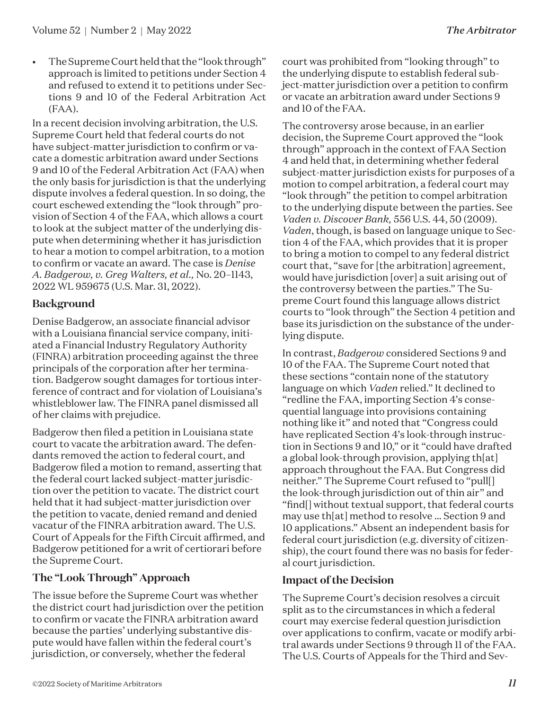• The Supreme Court held that the "look through" approach is limited to petitions under Section 4 and refused to extend it to petitions under Sections 9 and 10 of the Federal Arbitration Act (FAA).

In a recent decision involving arbitration, the U.S. Supreme Court held that federal courts do not have subject-matter jurisdiction to confirm or vacate a domestic arbitration award under Sections 9 and 10 of the Federal Arbitration Act (FAA) when the only basis for jurisdiction is that the underlying dispute involves a federal question. In so doing, the court eschewed extending the "look through" provision of Section 4 of the FAA, which allows a court to look at the subject matter of the underlying dispute when determining whether it has jurisdiction to hear a motion to compel arbitration, to a motion to confirm or vacate an award. The case is *Denise A. Badgerow, v. Greg Walters, et al.,* No. 20–1143, 2022 WL 959675 (U.S. Mar. 31, 2022).

### **Background**

Denise Badgerow, an associate financial advisor with a Louisiana financial service company, initiated a Financial Industry Regulatory Authority (FINRA) arbitration proceeding against the three principals of the corporation after her termination. Badgerow sought damages for tortious interference of contract and for violation of Louisiana's whistleblower law. The FINRA panel dismissed all of her claims with prejudice.

Badgerow then filed a petition in Louisiana state court to vacate the arbitration award. The defendants removed the action to federal court, and Badgerow filed a motion to remand, asserting that the federal court lacked subject-matter jurisdiction over the petition to vacate. The district court held that it had subject-matter jurisdiction over the petition to vacate, denied remand and denied vacatur of the FINRA arbitration award. The U.S. Court of Appeals for the Fifth Circuit affirmed, and Badgerow petitioned for a writ of certiorari before the Supreme Court.

### **The "Look Through" Approach**

The issue before the Supreme Court was whether the district court had jurisdiction over the petition to confirm or vacate the FINRA arbitration award because the parties' underlying substantive dispute would have fallen within the federal court's jurisdiction, or conversely, whether the federal

court was prohibited from "looking through" to the underlying dispute to establish federal subject-matter jurisdiction over a petition to confirm or vacate an arbitration award under Sections 9 and 10 of the FAA.

The controversy arose because, in an earlier decision, the Supreme Court approved the "look through" approach in the context of FAA Section 4 and held that, in determining whether federal subject-matter jurisdiction exists for purposes of a motion to compel arbitration, a federal court may "look through" the petition to compel arbitration to the underlying dispute between the parties. See *Vaden v. Discover Bank,* 556 U.S. 44, 50 (2009). *Vaden*, though, is based on language unique to Section 4 of the FAA, which provides that it is proper to bring a motion to compel to any federal district court that, "save for [the arbitration] agreement, would have jurisdiction [over] a suit arising out of the controversy between the parties." The Supreme Court found this language allows district courts to "look through" the Section 4 petition and base its jurisdiction on the substance of the underlying dispute.

In contrast, *Badgerow* considered Sections 9 and 10 of the FAA. The Supreme Court noted that these sections "contain none of the statutory language on which *Vaden* relied." It declined to "redline the FAA, importing Section 4's consequential language into provisions containing nothing like it" and noted that "Congress could have replicated Section 4's look-through instruction in Sections 9 and 10," or it "could have drafted a global look-through provision, applying th[at] approach throughout the FAA. But Congress did neither." The Supreme Court refused to "pull[] the look-through jurisdiction out of thin air" and "find[] without textual support, that federal courts may use th[at] method to resolve … Section 9 and 10 applications." Absent an independent basis for federal court jurisdiction (e.g. diversity of citizenship), the court found there was no basis for federal court jurisdiction.

### **Impact of the Decision**

The Supreme Court's decision resolves a circuit split as to the circumstances in which a federal court may exercise federal question jurisdiction over applications to confirm, vacate or modify arbitral awards under Sections 9 through 11 of the FAA. The U.S. Courts of Appeals for the Third and Sev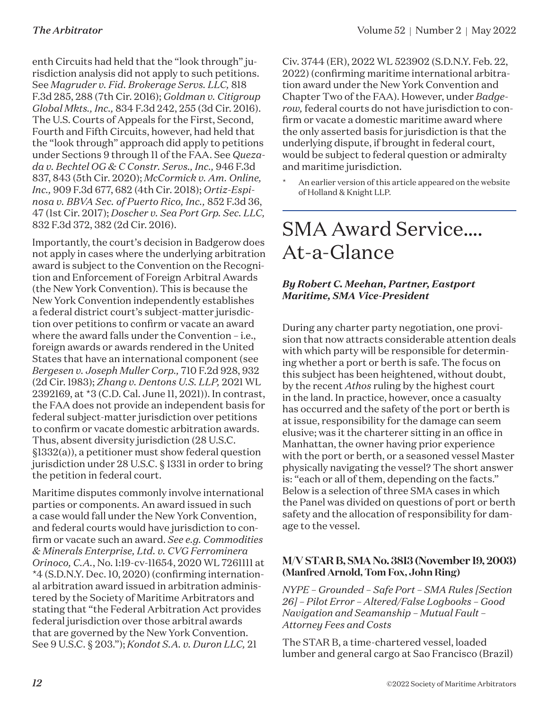enth Circuits had held that the "look through" jurisdiction analysis did not apply to such petitions. See *Magruder v. Fid. Brokerage Servs. LLC,* 818 F.3d 285, 288 (7th Cir. 2016); *Goldman v. Citigroup Global Mkts., Inc.,* 834 F.3d 242, 255 (3d Cir. 2016). The U.S. Courts of Appeals for the First, Second, Fourth and Fifth Circuits, however, had held that the "look through" approach did apply to petitions under Sections 9 through 11 of the FAA. See *Quezada v. Bechtel OG & C Constr. Servs., Inc.,* 946 F.3d 837, 843 (5th Cir. 2020); *McCormick v. Am. Online, Inc.,* 909 F.3d 677, 682 (4th Cir. 2018); *Ortiz-Espinosa v. BBVA Sec. of Puerto Rico, Inc.,* 852 F.3d 36, 47 (1st Cir. 2017); *Doscher v. Sea Port Grp. Sec. LLC,* 832 F.3d 372, 382 (2d Cir. 2016).

Importantly, the court's decision in Badgerow does not apply in cases where the underlying arbitration award is subject to the Convention on the Recognition and Enforcement of Foreign Arbitral Awards (the New York Convention). This is because the New York Convention independently establishes a federal district court's subject-matter jurisdiction over petitions to confirm or vacate an award where the award falls under the Convention – i.e., foreign awards or awards rendered in the United States that have an international component (see *Bergesen v. Joseph Muller Corp.,* 710 F.2d 928, 932 (2d Cir. 1983); *Zhang v. Dentons U.S. LLP,* 2021 WL 2392169, at \*3 (C.D. Cal. June 11, 2021)). In contrast, the FAA does not provide an independent basis for federal subject-matter jurisdiction over petitions to confirm or vacate domestic arbitration awards. Thus, absent diversity jurisdiction (28 U.S.C. §1332(a)), a petitioner must show federal question jurisdiction under 28 U.S.C. § 1331 in order to bring the petition in federal court.

Maritime disputes commonly involve international parties or components. An award issued in such a case would fall under the New York Convention, and federal courts would have jurisdiction to confirm or vacate such an award. *See e.g. Commodities & Minerals Enterprise, Ltd. v. CVG Ferrominera Orinoco, C.A.*, No. 1:19-cv-11654, 2020 WL 7261111 at \*4 (S.D.N.Y. Dec. 10, 2020) (confirming international arbitration award issued in arbitration administered by the Society of Maritime Arbitrators and stating that "the Federal Arbitration Act provides federal jurisdiction over those arbitral awards that are governed by the New York Convention. See 9 U.S.C. § 203."); *Kondot S.A. v. Duron LLC,* 21

Civ. 3744 (ER), 2022 WL 523902 (S.D.N.Y. Feb. 22, 2022) (confirming maritime international arbitration award under the New York Convention and Chapter Two of the FAA). However, under *Badgerow,* federal courts do not have jurisdiction to confirm or vacate a domestic maritime award where the only asserted basis for jurisdiction is that the underlying dispute, if brought in federal court, would be subject to federal question or admiralty and maritime jurisdiction.

An earlier version of this article appeared on the website of Holland & Knight LLP.

### SMA Award Service…. At-a-Glance

### *By Robert C. Meehan, Partner, Eastport Maritime, SMA Vice-President*

During any charter party negotiation, one provision that now attracts considerable attention deals with which party will be responsible for determining whether a port or berth is safe. The focus on this subject has been heightened, without doubt, by the recent *Athos* ruling by the highest court in the land. In practice, however, once a casualty has occurred and the safety of the port or berth is at issue, responsibility for the damage can seem elusive; was it the charterer sitting in an office in Manhattan, the owner having prior experience with the port or berth, or a seasoned vessel Master physically navigating the vessel? The short answer is: "each or all of them, depending on the facts." Below is a selection of three SMA cases in which the Panel was divided on questions of port or berth safety and the allocation of responsibility for damage to the vessel.

### **M/V STAR B, SMA No. 3813 (November 19, 2003) (Manfred Arnold, Tom Fox, John Ring)**

*NYPE – Grounded – Safe Port – SMA Rules [Section 26] – Pilot Error – Altered/False Logbooks – Good Navigation and Seamanship – Mutual Fault – Attorney Fees and Costs*

The STAR B, a time-chartered vessel, loaded lumber and general cargo at Sao Francisco (Brazil)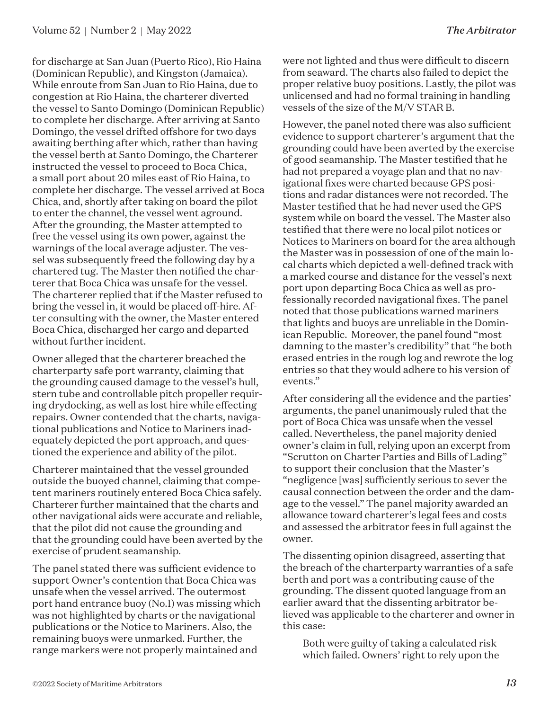for discharge at San Juan (Puerto Rico), Rio Haina (Dominican Republic), and Kingston (Jamaica). While enroute from San Juan to Rio Haina, due to congestion at Rio Haina, the charterer diverted the vessel to Santo Domingo (Dominican Republic) to complete her discharge. After arriving at Santo Domingo, the vessel drifted offshore for two days awaiting berthing after which, rather than having the vessel berth at Santo Domingo, the Charterer instructed the vessel to proceed to Boca Chica, a small port about 20 miles east of Rio Haina, to complete her discharge. The vessel arrived at Boca Chica, and, shortly after taking on board the pilot to enter the channel, the vessel went aground. After the grounding, the Master attempted to free the vessel using its own power, against the warnings of the local average adjuster. The vessel was subsequently freed the following day by a chartered tug. The Master then notified the charterer that Boca Chica was unsafe for the vessel. The charterer replied that if the Master refused to bring the vessel in, it would be placed off-hire. After consulting with the owner, the Master entered Boca Chica, discharged her cargo and departed without further incident.

Owner alleged that the charterer breached the charterparty safe port warranty, claiming that the grounding caused damage to the vessel's hull, stern tube and controllable pitch propeller requiring drydocking, as well as lost hire while effecting repairs. Owner contended that the charts, navigational publications and Notice to Mariners inadequately depicted the port approach, and questioned the experience and ability of the pilot.

Charterer maintained that the vessel grounded outside the buoyed channel, claiming that competent mariners routinely entered Boca Chica safely. Charterer further maintained that the charts and other navigational aids were accurate and reliable, that the pilot did not cause the grounding and that the grounding could have been averted by the exercise of prudent seamanship.

The panel stated there was sufficient evidence to support Owner's contention that Boca Chica was unsafe when the vessel arrived. The outermost port hand entrance buoy (No.1) was missing which was not highlighted by charts or the navigational publications or the Notice to Mariners. Also, the remaining buoys were unmarked. Further, the range markers were not properly maintained and

were not lighted and thus were difficult to discern from seaward. The charts also failed to depict the proper relative buoy positions. Lastly, the pilot was unlicensed and had no formal training in handling vessels of the size of the M/V STAR B.

However, the panel noted there was also sufficient evidence to support charterer's argument that the grounding could have been averted by the exercise of good seamanship. The Master testified that he had not prepared a voyage plan and that no navigational fixes were charted because GPS positions and radar distances were not recorded. The Master testified that he had never used the GPS system while on board the vessel. The Master also testified that there were no local pilot notices or Notices to Mariners on board for the area although the Master was in possession of one of the main local charts which depicted a well-defined track with a marked course and distance for the vessel's next port upon departing Boca Chica as well as professionally recorded navigational fixes. The panel noted that those publications warned mariners that lights and buoys are unreliable in the Dominican Republic. Moreover, the panel found "most damning to the master's credibility" that "he both erased entries in the rough log and rewrote the log entries so that they would adhere to his version of events."

After considering all the evidence and the parties' arguments, the panel unanimously ruled that the port of Boca Chica was unsafe when the vessel called. Nevertheless, the panel majority denied owner's claim in full, relying upon an excerpt from "Scrutton on Charter Parties and Bills of Lading" to support their conclusion that the Master's "negligence [was] sufficiently serious to sever the causal connection between the order and the damage to the vessel." The panel majority awarded an allowance toward charterer's legal fees and costs and assessed the arbitrator fees in full against the owner.

The dissenting opinion disagreed, asserting that the breach of the charterparty warranties of a safe berth and port was a contributing cause of the grounding. The dissent quoted language from an earlier award that the dissenting arbitrator believed was applicable to the charterer and owner in this case:

Both were guilty of taking a calculated risk which failed. Owners' right to rely upon the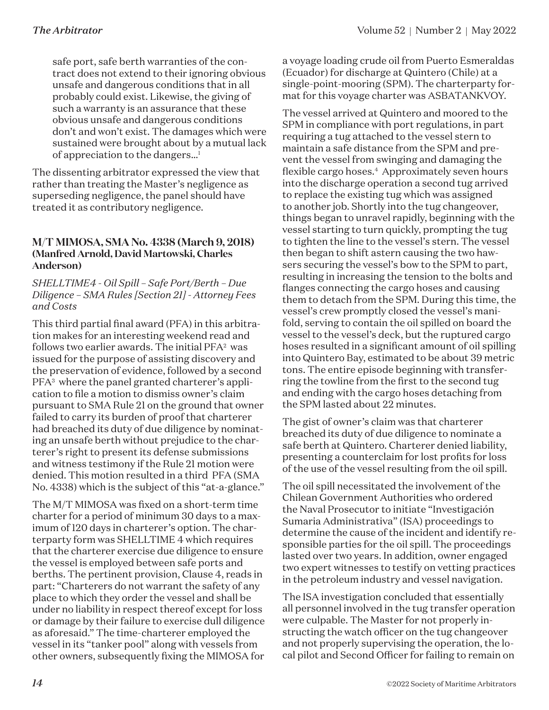safe port, safe berth warranties of the contract does not extend to their ignoring obvious unsafe and dangerous conditions that in all probably could exist. Likewise, the giving of such a warranty is an assurance that these obvious unsafe and dangerous conditions don't and won't exist. The damages which were sustained were brought about by a mutual lack of appreciation to the dangers…1

The dissenting arbitrator expressed the view that rather than treating the Master's negligence as superseding negligence, the panel should have treated it as contributory negligence.

#### **M/T MIMOSA, SMA No. 4338 (March 9, 2018) (Manfred Arnold, David Martowski, Charles Anderson)**

*SHELLTIME4 - Oil Spill – Safe Port/Berth – Due Diligence – SMA Rules [Section 21] - Attorney Fees and Costs*

This third partial final award (PFA) in this arbitration makes for an interesting weekend read and follows two earlier awards. The initial  $PFA^2$  was issued for the purpose of assisting discovery and the preservation of evidence, followed by a second PFA3 where the panel granted charterer's application to file a motion to dismiss owner's claim pursuant to SMA Rule 21 on the ground that owner failed to carry its burden of proof that charterer had breached its duty of due diligence by nominating an unsafe berth without prejudice to the charterer's right to present its defense submissions and witness testimony if the Rule 21 motion were denied. This motion resulted in a third PFA (SMA No. 4338) which is the subject of this "at-a-glance."

The M/T MIMOSA was fixed on a short-term time charter for a period of minimum 30 days to a maximum of 120 days in charterer's option. The charterparty form was SHELLTIME 4 which requires that the charterer exercise due diligence to ensure the vessel is employed between safe ports and berths. The pertinent provision, Clause 4, reads in part: "Charterers do not warrant the safety of any place to which they order the vessel and shall be under no liability in respect thereof except for loss or damage by their failure to exercise dull diligence as aforesaid." The time-charterer employed the vessel in its "tanker pool" along with vessels from other owners, subsequently fixing the MIMOSA for

a voyage loading crude oil from Puerto Esmeraldas (Ecuador) for discharge at Quintero (Chile) at a single-point-mooring (SPM). The charterparty format for this voyage charter was ASBATANKVOY.

The vessel arrived at Quintero and moored to the SPM in compliance with port regulations, in part requiring a tug attached to the vessel stern to maintain a safe distance from the SPM and prevent the vessel from swinging and damaging the flexible cargo hoses.4 Approximately seven hours into the discharge operation a second tug arrived to replace the existing tug which was assigned to another job. Shortly into the tug changeover, things began to unravel rapidly, beginning with the vessel starting to turn quickly, prompting the tug to tighten the line to the vessel's stern. The vessel then began to shift astern causing the two hawsers securing the vessel's bow to the SPM to part, resulting in increasing the tension to the bolts and flanges connecting the cargo hoses and causing them to detach from the SPM. During this time, the vessel's crew promptly closed the vessel's manifold, serving to contain the oil spilled on board the vessel to the vessel's deck, but the ruptured cargo hoses resulted in a significant amount of oil spilling into Quintero Bay, estimated to be about 39 metric tons. The entire episode beginning with transferring the towline from the first to the second tug and ending with the cargo hoses detaching from the SPM lasted about 22 minutes.

The gist of owner's claim was that charterer breached its duty of due diligence to nominate a safe berth at Quintero. Charterer denied liability, presenting a counterclaim for lost profits for loss of the use of the vessel resulting from the oil spill.

The oil spill necessitated the involvement of the Chilean Government Authorities who ordered the Naval Prosecutor to initiate "Investigación Sumaria Administrativa" (ISA) proceedings to determine the cause of the incident and identify responsible parties for the oil spill. The proceedings lasted over two years. In addition, owner engaged two expert witnesses to testify on vetting practices in the petroleum industry and vessel navigation.

The ISA investigation concluded that essentially all personnel involved in the tug transfer operation were culpable. The Master for not properly instructing the watch officer on the tug changeover and not properly supervising the operation, the local pilot and Second Officer for failing to remain on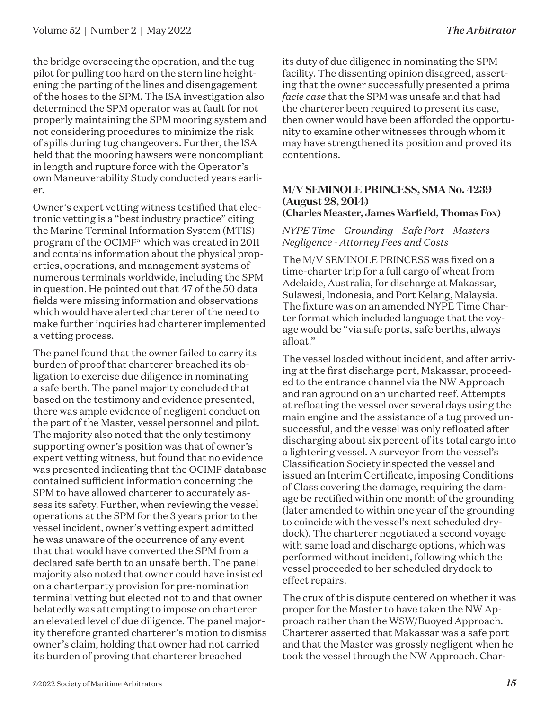the bridge overseeing the operation, and the tug pilot for pulling too hard on the stern line heightening the parting of the lines and disengagement of the hoses to the SPM. The ISA investigation also determined the SPM operator was at fault for not properly maintaining the SPM mooring system and not considering procedures to minimize the risk of spills during tug changeovers. Further, the ISA held that the mooring hawsers were noncompliant in length and rupture force with the Operator's own Maneuverability Study conducted years earlier.

Owner's expert vetting witness testified that electronic vetting is a "best industry practice" citing the Marine Terminal Information System (MTIS) program of the OCIMF<sup>5</sup> which was created in 2011 and contains information about the physical properties, operations, and management systems of numerous terminals worldwide, including the SPM in question. He pointed out that 47 of the 50 data fields were missing information and observations which would have alerted charterer of the need to make further inquiries had charterer implemented a vetting process.

The panel found that the owner failed to carry its burden of proof that charterer breached its obligation to exercise due diligence in nominating a safe berth. The panel majority concluded that based on the testimony and evidence presented, there was ample evidence of negligent conduct on the part of the Master, vessel personnel and pilot. The majority also noted that the only testimony supporting owner's position was that of owner's expert vetting witness, but found that no evidence was presented indicating that the OCIMF database contained sufficient information concerning the SPM to have allowed charterer to accurately assess its safety. Further, when reviewing the vessel operations at the SPM for the 3 years prior to the vessel incident, owner's vetting expert admitted he was unaware of the occurrence of any event that that would have converted the SPM from a declared safe berth to an unsafe berth. The panel majority also noted that owner could have insisted on a charterparty provision for pre-nomination terminal vetting but elected not to and that owner belatedly was attempting to impose on charterer an elevated level of due diligence. The panel majority therefore granted charterer's motion to dismiss owner's claim, holding that owner had not carried its burden of proving that charterer breached

its duty of due diligence in nominating the SPM facility. The dissenting opinion disagreed, asserting that the owner successfully presented a prima *facie case* that the SPM was unsafe and that had the charterer been required to present its case, then owner would have been afforded the opportunity to examine other witnesses through whom it may have strengthened its position and proved its contentions.

#### **M/V SEMINOLE PRINCESS, SMA No. 4239 (August 28, 2014) (Charles Measter, James Warfield, Thomas Fox)**

#### *NYPE Time – Grounding – Safe Port – Masters Negligence - Attorney Fees and Costs*

The M/V SEMINOLE PRINCESS was fixed on a time-charter trip for a full cargo of wheat from Adelaide, Australia, for discharge at Makassar, Sulawesi, Indonesia, and Port Kelang, Malaysia. The fixture was on an amended NYPE Time Charter format which included language that the voyage would be "via safe ports, safe berths, always afloat."

The vessel loaded without incident, and after arriving at the first discharge port, Makassar, proceeded to the entrance channel via the NW Approach and ran aground on an uncharted reef. Attempts at refloating the vessel over several days using the main engine and the assistance of a tug proved unsuccessful, and the vessel was only refloated after discharging about six percent of its total cargo into a lightering vessel. A surveyor from the vessel's Classification Society inspected the vessel and issued an Interim Certificate, imposing Conditions of Class covering the damage, requiring the damage be rectified within one month of the grounding (later amended to within one year of the grounding to coincide with the vessel's next scheduled drydock). The charterer negotiated a second voyage with same load and discharge options, which was performed without incident, following which the vessel proceeded to her scheduled drydock to effect repairs.

The crux of this dispute centered on whether it was proper for the Master to have taken the NW Approach rather than the WSW/Buoyed Approach. Charterer asserted that Makassar was a safe port and that the Master was grossly negligent when he took the vessel through the NW Approach. Char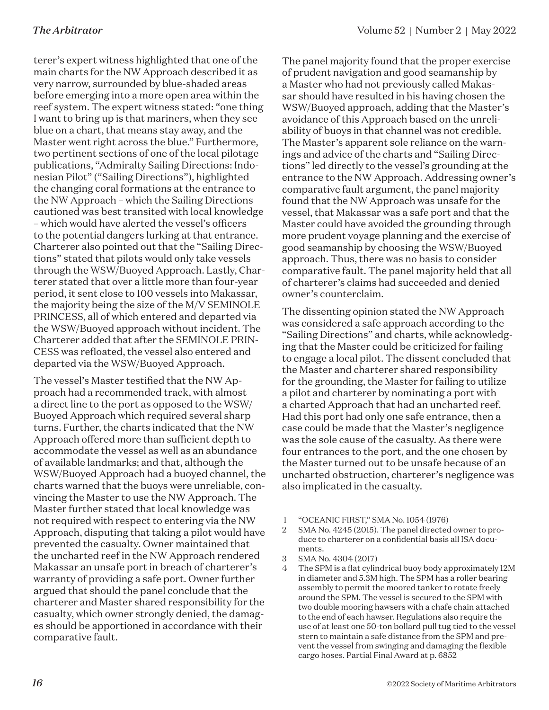terer's expert witness highlighted that one of the main charts for the NW Approach described it as very narrow, surrounded by blue-shaded areas before emerging into a more open area within the reef system. The expert witness stated: "one thing I want to bring up is that mariners, when they see blue on a chart, that means stay away, and the Master went right across the blue." Furthermore, two pertinent sections of one of the local pilotage publications, "Admiralty Sailing Directions: Indonesian Pilot" ("Sailing Directions"), highlighted the changing coral formations at the entrance to the NW Approach – which the Sailing Directions cautioned was best transited with local knowledge – which would have alerted the vessel's officers to the potential dangers lurking at that entrance. Charterer also pointed out that the "Sailing Directions" stated that pilots would only take vessels through the WSW/Buoyed Approach. Lastly, Charterer stated that over a little more than four-year period, it sent close to 100 vessels into Makassar, the majority being the size of the M/V SEMINOLE PRINCESS, all of which entered and departed via the WSW/Buoyed approach without incident. The Charterer added that after the SEMINOLE PRIN-CESS was refloated, the vessel also entered and departed via the WSW/Buoyed Approach.

The vessel's Master testified that the NW Approach had a recommended track, with almost a direct line to the port as opposed to the WSW/ Buoyed Approach which required several sharp turns. Further, the charts indicated that the NW Approach offered more than sufficient depth to accommodate the vessel as well as an abundance of available landmarks; and that, although the WSW/Buoyed Approach had a buoyed channel, the charts warned that the buoys were unreliable, convincing the Master to use the NW Approach. The Master further stated that local knowledge was not required with respect to entering via the NW Approach, disputing that taking a pilot would have prevented the casualty. Owner maintained that the uncharted reef in the NW Approach rendered Makassar an unsafe port in breach of charterer's warranty of providing a safe port. Owner further argued that should the panel conclude that the charterer and Master shared responsibility for the casualty, which owner strongly denied, the damages should be apportioned in accordance with their comparative fault.

The panel majority found that the proper exercise of prudent navigation and good seamanship by a Master who had not previously called Makassar should have resulted in his having chosen the WSW/Buoyed approach, adding that the Master's avoidance of this Approach based on the unreliability of buoys in that channel was not credible. The Master's apparent sole reliance on the warnings and advice of the charts and "Sailing Directions" led directly to the vessel's grounding at the entrance to the NW Approach. Addressing owner's comparative fault argument, the panel majority found that the NW Approach was unsafe for the vessel, that Makassar was a safe port and that the Master could have avoided the grounding through more prudent voyage planning and the exercise of good seamanship by choosing the WSW/Buoyed approach. Thus, there was no basis to consider comparative fault. The panel majority held that all of charterer's claims had succeeded and denied owner's counterclaim.

The dissenting opinion stated the NW Approach was considered a safe approach according to the "Sailing Directions" and charts, while acknowledging that the Master could be criticized for failing to engage a local pilot. The dissent concluded that the Master and charterer shared responsibility for the grounding, the Master for failing to utilize a pilot and charterer by nominating a port with a charted Approach that had an uncharted reef. Had this port had only one safe entrance, then a case could be made that the Master's negligence was the sole cause of the casualty. As there were four entrances to the port, and the one chosen by the Master turned out to be unsafe because of an uncharted obstruction, charterer's negligence was also implicated in the casualty.

- 1 "OCEANIC FIRST," SMA No. 1054 (1976)
- 2 SMA No. 4245 (2015). The panel directed owner to produce to charterer on a confidential basis all ISA documents.
- 3 SMA No. 4304 (2017)
- 4 The SPM is a flat cylindrical buoy body approximately 12M in diameter and 5.3M high. The SPM has a roller bearing assembly to permit the moored tanker to rotate freely around the SPM. The vessel is secured to the SPM with two double mooring hawsers with a chafe chain attached to the end of each hawser. Regulations also require the use of at least one 50-ton bollard pull tug tied to the vessel stern to maintain a safe distance from the SPM and prevent the vessel from swinging and damaging the flexible cargo hoses. Partial Final Award at p. 6852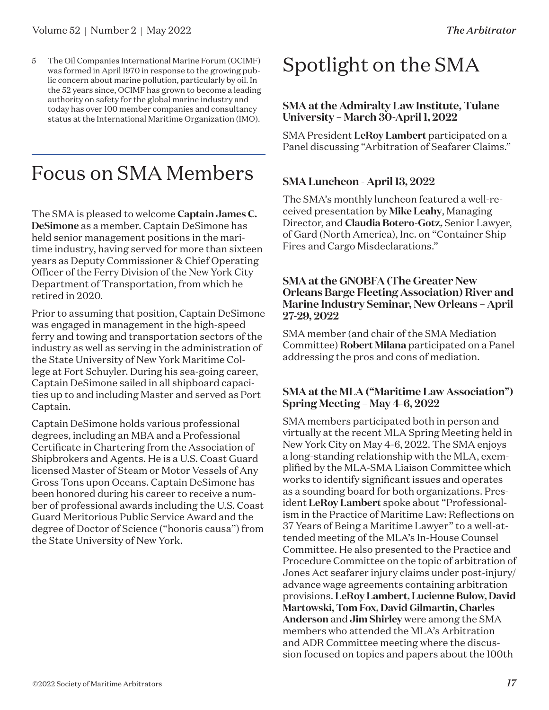5 The Oil Companies International Marine Forum (OCIMF) was formed in April 1970 in response to the growing public concern about marine pollution, particularly by oil. In the 52 years since, OCIMF has grown to become a leading authority on safety for the global marine industry and today has over 100 member companies and consultancy status at the International Maritime Organization (IMO).

### Focus on SMA Members

The SMA is pleased to welcome **Captain James C. DeSimone** as a member. Captain DeSimone has held senior management positions in the maritime industry, having served for more than sixteen years as Deputy Commissioner & Chief Operating Officer of the Ferry Division of the New York City Department of Transportation, from which he retired in 2020.

Prior to assuming that position, Captain DeSimone was engaged in management in the high-speed ferry and towing and transportation sectors of the industry as well as serving in the administration of the State University of New York Maritime College at Fort Schuyler. During his sea-going career, Captain DeSimone sailed in all shipboard capacities up to and including Master and served as Port Captain.

Captain DeSimone holds various professional degrees, including an MBA and a Professional Certificate in Chartering from the Association of Shipbrokers and Agents. He is a U.S. Coast Guard licensed Master of Steam or Motor Vessels of Any Gross Tons upon Oceans. Captain DeSimone has been honored during his career to receive a number of professional awards including the U.S. Coast Guard Meritorious Public Service Award and the degree of Doctor of Science ("honoris causa") from the State University of New York.

### Spotlight on the SMA

### **SMA at the Admiralty Law Institute, Tulane University – March 30-April 1, 2022**

SMA President **LeRoy Lambert** participated on a Panel discussing "Arbitration of Seafarer Claims."

### **SMA Luncheon - April 13, 2022**

The SMA's monthly luncheon featured a well-received presentation by **Mike Leahy**, Managing Director, and **Claudia Botero-Gotz,** Senior Lawyer, of Gard (North America), Inc. on "Container Ship Fires and Cargo Misdeclarations."

#### **SMA at the GNOBFA (The Greater New Orleans Barge Fleeting Association) River and Marine Industry Seminar, New Orleans – April 27-29, 2022**

SMA member (and chair of the SMA Mediation Committee) **Robert Milana** participated on a Panel addressing the pros and cons of mediation.

### **SMA at the MLA ("Maritime Law Association") Spring Meeting – May 4-6, 2022**

SMA members participated both in person and virtually at the recent MLA Spring Meeting held in New York City on May 4-6, 2022. The SMA enjoys a long-standing relationship with the MLA, exemplified by the MLA-SMA Liaison Committee which works to identify significant issues and operates as a sounding board for both organizations. President **LeRoy Lambert** spoke about "Professionalism in the Practice of Maritime Law: Reflections on 37 Years of Being a Maritime Lawyer" to a well-attended meeting of the MLA's In-House Counsel Committee. He also presented to the Practice and Procedure Committee on the topic of arbitration of Jones Act seafarer injury claims under post-injury/ advance wage agreements containing arbitration provisions. **LeRoy Lambert, Lucienne Bulow, David Martowski, Tom Fox, David Gilmartin, Charles Anderson** and **Jim Shirley** were among the SMA members who attended the MLA's Arbitration and ADR Committee meeting where the discussion focused on topics and papers about the 100th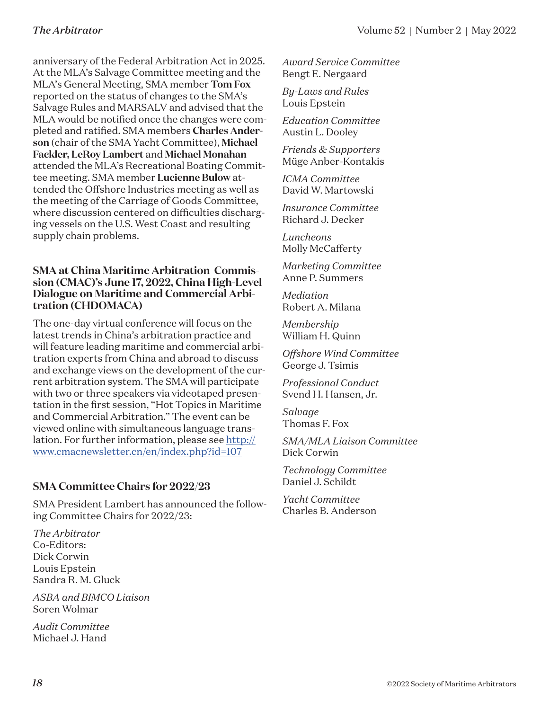anniversary of the Federal Arbitration Act in 2025. At the MLA's Salvage Committee meeting and the MLA's General Meeting, SMA member **Tom Fox** reported on the status of changes to the SMA's Salvage Rules and MARSALV and advised that the MLA would be notified once the changes were completed and ratified. SMA members **Charles Anderson** (chair of the SMA Yacht Committee), **Michael Fackler, LeRoy Lambert** and **Michael Monahan** attended the MLA's Recreational Boating Committee meeting. SMA member **Lucienne Bulow** attended the Offshore Industries meeting as well as the meeting of the Carriage of Goods Committee, where discussion centered on difficulties discharging vessels on the U.S. West Coast and resulting supply chain problems.

### **SMA at China Maritime Arbitration Commission (CMAC)'s June 17, 2022, China High-Level Dialogue on Maritime and Commercial Arbitration (CHDOMACA)**

The one-day virtual conference will focus on the latest trends in China's arbitration practice and will feature leading maritime and commercial arbitration experts from China and abroad to discuss and exchange views on the development of the current arbitration system. The SMA will participate with two or three speakers via videotaped presentation in the first session, "Hot Topics in Maritime and Commercial Arbitration." The event can be viewed online with simultaneous language translation. For further information, please see [http://](http://www.cmacnewsletter.cn/en/index.php?id=107) [www.cmacnewsletter.cn/en/index.php?id=107](http://www.cmacnewsletter.cn/en/index.php?id=107)

### **SMA Committee Chairs for 2022/23**

SMA President Lambert has announced the following Committee Chairs for 2022/23:

*The Arbitrator* Co-Editors: Dick Corwin Louis Epstein Sandra R. M. Gluck

*ASBA and BIMCO Liaison* Soren Wolmar

*Audit Committee* Michael J. Hand

*Award Service Committee* Bengt E. Nergaard

*By-Laws and Rules* Louis Epstein

*Education Committee* Austin L. Dooley

*Friends & Supporters* Müge Anber-Kontakis

*ICMA Committee* David W. Martowski

*Insurance Committee* Richard J. Decker

*Luncheons* Molly McCafferty

*Marketing Committee* Anne P. Summers

*Mediation* Robert A. Milana

*Membership* William H. Quinn

*Offshore Wind Committee* George J. Tsimis

*Professional Conduct* Svend H. Hansen, Jr.

*Salvage* Thomas F. Fox

*SMA/MLA Liaison Committee* Dick Corwin

*Technology Committee* Daniel J. Schildt

*Yacht Committee* Charles B. Anderson